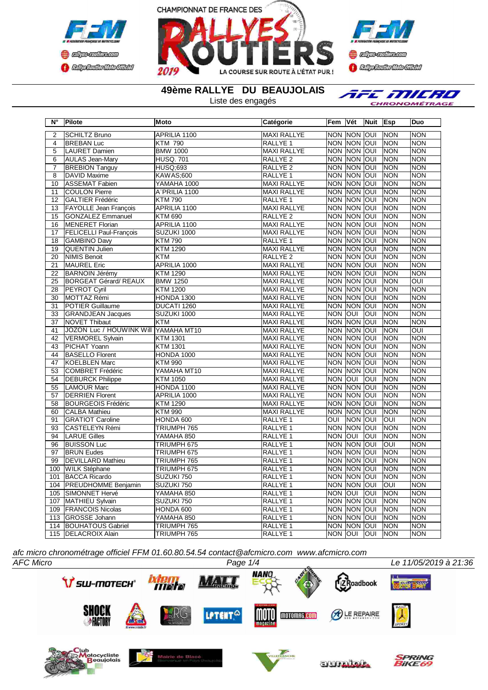



**Confederation Complementation** 

**49ème RALLYE DU BEAUJOLAIS**

Liste des engagés

AFE MILRO CHRONOMÉTRAGE

| $\overline{\mathsf{N}^{\circ}}$ | Pilote                               | <b>Moto</b>      | <b>Catégorie</b>    | Fem            | Vét                | Nuit       | <b>Esp</b>     | <b>Duo</b> |
|---------------------------------|--------------------------------------|------------------|---------------------|----------------|--------------------|------------|----------------|------------|
| $\overline{2}$                  | <b>SCHILTZ Bruno</b>                 | APRILIA 1100     | <b>MAXI RALLYE</b>  |                | NON NON OUI        |            | <b>NON</b>     | <b>NON</b> |
| 4                               | <b>BREBAN Luc</b>                    | <b>KTM 790</b>   | <b>RALLYE 1</b>     |                | NON NON OUI        |            | <b>NON</b>     | <b>NON</b> |
| $\overline{5}$                  | <b>LAURET Damien</b>                 | <b>BMW 1000</b>  | <b>MAXI RALLYE</b>  |                | NON NON OUI        |            | <b>NON</b>     | <b>NON</b> |
| 6                               | <b>AULAS Jean-Mary</b>               | <b>HUSQ. 701</b> | RALLYE <sub>2</sub> | <b>NON</b>     | <b>NON OUI</b>     |            | <b>NON</b>     | <b>NON</b> |
| $\overline{7}$                  | <b>BREBION Tanguy</b>                | <b>HUSQ;693</b>  | RALLYE <sub>2</sub> | <b>NON</b>     | NON OUI            |            | <b>NON</b>     | <b>NON</b> |
| $\overline{8}$                  | <b>DAVID Maxime</b>                  | <b>KAWAS:600</b> | RALLYE 1            | <b>NON</b>     | <b>NON</b>         | loui       | <b>NON</b>     | <b>NON</b> |
| 10                              | ASSEMAT Fabien                       | YAMAHA 1000      | <b>MAXI RALLYE</b>  |                | NON NON OUI        |            | <b>NON</b>     | <b>NON</b> |
| 11                              | <b>COULON Pierre</b>                 | A"PRILIA 1100    | <b>MAXI RALLYE</b>  | <b>NON</b>     | NON OUI            |            | <b>NON</b>     | <b>NON</b> |
| 12                              | <b>GALTIER Frédéric</b>              | <b>KTM790</b>    | RALLYE <sub>1</sub> |                | <b>NON NON OUI</b> |            | <b>NON</b>     | <b>NON</b> |
| 13                              | <b>FAYOLLE Jean Francois</b>         | APRILIA 1100     | <b>MAXI RALLYE</b>  | <b>NON</b>     | <b>NON OUI</b>     |            | <b>NON</b>     | <b>NON</b> |
| 15                              | <b>GONZALEZ Emmanuel</b>             | <b>KTM 690</b>   | RALLYE <sub>2</sub> |                | NON NON OUI        |            | <b>NON</b>     | <b>NON</b> |
| 16                              | MENERET Florian                      | APRILIA 1100     | <b>MAXI RALLYE</b>  |                | NON NON OUI        |            | <b>NON</b>     | <b>NON</b> |
| 17                              | FELICELLI Paul-François              | SUZUKI 1000      | <b>MAXI RALLYE</b>  |                | NON INON IOUI      |            | <b>NON</b>     | <b>NON</b> |
| 18                              | <b>GAMBINO Davy</b>                  | <b>KTM790</b>    | RALLYE 1            |                | NON MON JOUI       |            | <b>INON</b>    | <b>NON</b> |
| 19                              | QUENTIN Julien                       | <b>KTM 1290</b>  | <b>MAXI RALLYE</b>  | <b>NON</b>     | <b>NON</b>         | loui       | Inon           | <b>NON</b> |
| 20                              | <b>NIMIS Benoit</b>                  | <b>KTM</b>       | RALLYE <sub>2</sub> |                | NON NON OUT        |            | <b>NON</b>     | <b>NON</b> |
| 21                              | <b>MAUREL Eric</b>                   | APRILIA 1000     | <b>MAXI RALLYE</b>  |                | NON NON JOUI       |            | <b>NON</b>     | <b>NON</b> |
| $\overline{22}$                 | <b>BARNOIN Jérémy</b>                | <b>KTM 1290</b>  | <b>MAXI RALLYE</b>  | <b>NON</b>     | <b>NON</b>         | loui       | <b>NON</b>     | <b>NON</b> |
| 25                              | <b>BORGEAT Gérard/REAUX</b>          | <b>BMW 1250</b>  | <b>MAXI RALLYE</b>  | <b>NON</b>     | <b>NON OUI</b>     |            | <b>NON</b>     | OUI        |
| 28                              | <b>PEYROT Cyril</b>                  | <b>KTM 1200</b>  | <b>MAXI RALLYE</b>  |                | NON NON OUI        |            | <b>NON</b>     | <b>NON</b> |
| 30                              | MOTTAZ Rémi                          | HONDA 1300       | <b>MAXI RALLYE</b>  |                | NON NON OUI        |            | <b>NON</b>     | <b>NON</b> |
| $\overline{31}$                 | <b>POTIER Guillaume</b>              | DUCATI 1260      | <b>MAXI RALLYE</b>  | <b>NON</b>     | <b>NON</b>         | loui       | <b>NON</b>     | <b>NON</b> |
| 33                              | <b>GRANDJEAN Jacques</b>             | SUZUKI 1000      | <b>MAXI RALLYE</b>  | <b>NON</b>     | loui               | IOUI       | <b>NON</b>     | <b>NON</b> |
| 37                              | <b>NOVET Thibaut</b>                 | <b>KTM</b>       | <b>MAXI RALLYE</b>  | <b>NON</b>     | <b>NON OUI</b>     |            | <b>NON</b>     | <b>NON</b> |
| 41                              | JOZON Luc / HOUWINK Will YAMAHA MT10 |                  | <b>MAXI RALLYE</b>  |                | NON NON JOUI       |            | NON            | OUI        |
| $\overline{42}$                 | <b>VERMOREL Sylvain</b>              | <b>KTM 1301</b>  | <b>MAXI RALLYE</b>  |                | NON NON OUI        |            | <b>NON</b>     | <b>NON</b> |
| 43                              | PICHAT Yoann                         | <b>KTM 1301</b>  | <b>MAXI RALLYE</b>  | <b>NON</b>     | NON                | loui       | <b>NON</b>     | <b>NON</b> |
| 44                              | <b>BASELLO Florent</b>               | HONDA 1000       | <b>MAXI RALLYE</b>  | <b>NON</b>     | <b>NON OUI</b>     |            | <b>NON</b>     | <b>NON</b> |
| 47                              | <b>KOELBLEN Marc</b>                 | <b>KTM 990</b>   | <b>MAXI RALLYE</b>  |                | <b>NON NON</b>     | lon        | <b>NON</b>     | <b>NON</b> |
| 53                              | COMBRET Frédéric                     | YAMAHA MT10      | <b>MAXI RALLYE</b>  |                | NON NON OUI        |            | <b>NON</b>     | <b>NON</b> |
| 54                              | <b>DEBURCK Philippe</b>              | <b>KTM 1050</b>  | <b>MAXI RALLYE</b>  | <b>NON</b>     | lon                | <b>INO</b> | <b>NON</b>     | <b>NON</b> |
| 55                              | LAMOUR Marc                          | HONDA 1100       | <b>MAXI RALLYE</b>  |                | NON NON OUI        |            | NON            | <b>NON</b> |
| 57                              | <b>DERRIEN Florent</b>               | APRILIA 1000     | <b>MAXI RALLYE</b>  | <b>NON</b>     | NON OUI            |            | <b>NON</b>     | <b>NON</b> |
| 58                              | <b>BOURGEOIS Frédéric</b>            | <b>KTM 1290</b>  | <b>MAXI RALLYE</b>  |                | NON NON JOUI       |            | NON            | <b>NON</b> |
| 60                              | <b>CALBA Mathieu</b>                 | <b>KTM 990</b>   | <b>MAXI RALLYE</b>  |                | NON NON JOUI       |            | <b>NON</b>     | <b>NON</b> |
| 91                              | <b>GRATIOT Caroline</b>              | HONDA 600        | RALLYE 1            | OUI            | Inon Ioui          |            | loui           | <b>NON</b> |
| 93                              | CASTELEYN Rémi                       | TRIUMPH 765      | RALLYE 1            |                | NON NON OUI        |            | <b>NON</b>     | <b>NON</b> |
| 94                              | <b>LARUE Gilles</b>                  | YAMAHA 850       | RALLYE 1            | <b>NON OUI</b> |                    | OUI        | <b>NON</b>     | <b>NON</b> |
| 96                              | <b>BUISSON Luc</b>                   | TRIUMPH 675      | RALLYE 1            | <b>NON</b>     | <b>INON JOUI</b>   |            | <b>OUI</b>     | <b>NON</b> |
| 97                              | <b>BRUN Eudes</b>                    | TRIUMPH 675      | RALLYE <sub>1</sub> | <b>NON</b>     | <b>NON</b>         | loui       | <b>NON</b>     | <b>NON</b> |
| 99                              | <b>DEVILLARD Mathieu</b>             | TRIUMPH 765      | RALLYE 1            |                | NON NON OUI        |            | <b>NON</b>     | <b>NON</b> |
| 100                             | <b>WILK Stéphane</b>                 | TRIUMPH 675      | RALLYE <sub>1</sub> |                | NON NON OUI        |            | <b>NON</b>     | <b>NON</b> |
| 101                             | <b>BACCA Ricardo</b>                 | SUZUKI 750       | RALLYE 1            |                | NON NON OUI        |            | <b>NON</b>     | <b>NON</b> |
| 104                             | PREUDHOMME Benjamin                  | SUZUKI 750       | RALLYE 1            |                | NON NON OUI        |            | $\overline{O}$ | <b>NON</b> |
| 105                             | SIMONNET Hervé                       | YAMAHA 850       | RALLYE 1            | <b>NON</b>     | loui               | <b>OUI</b> | INON           | <b>NON</b> |
| 107                             | MATHIEU Sylvain                      | SUZUKI 750       | RALLYE 1            |                | NON NON OUI        |            | <b>NON</b>     | <b>NON</b> |
| 109                             | <b>FRANCOIS Nicolas</b>              | HONDA 600        | RALLYE 1            | <b>NON</b>     | <b>NON</b>         | loui       | <b>NON</b>     | <b>NON</b> |
| 113                             | <b>GROSSE Johann</b>                 | YAMAHA 850       | RALLYE 1            | <b>NON</b>     | <b>NON</b>         | <b>OUI</b> | <b>NON</b>     | <b>NON</b> |
| 114                             | <b>BOUHATOUS Gabriel</b>             | TRIUMPH 765      | RALLYE 1            | <b>NON</b>     | NON OUI            |            | <b>NON</b>     | <b>NON</b> |
| 115                             | <b>IDELACROIX Alain</b>              | TRIUMPH 765      | RALLYE 1            | NON JOUI       |                    | IOUI       | <b>NON</b>     | <b>NON</b> |

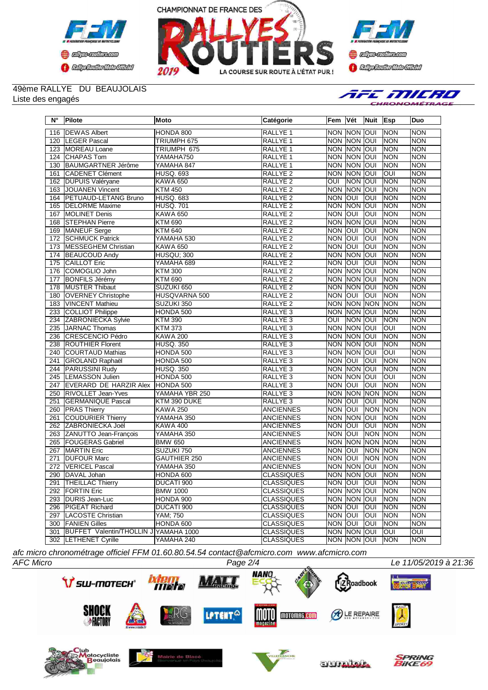





## 49ème RALLYE DU BEAUJOLAIS Liste des engagés

AFE MILRO RONOMÉTRAGE

| Ν°  | <b>Pilote</b>                         | Moto             | Catégorie           | Fem                     | ∣Vét           | Nuit       | Esp         | <b>Duo</b> |
|-----|---------------------------------------|------------------|---------------------|-------------------------|----------------|------------|-------------|------------|
| 116 | <b>DEWAS Albert</b>                   | HONDA 800        | RALLYE <sub>1</sub> | <b>NON</b>              | <b>NON</b>     | lon        | <b>NON</b>  | <b>NON</b> |
| 120 | <b>LEGER Pascal</b>                   | TRIUMPH 675      | RALLYE <sub>1</sub> | <b>NON</b>              | <b>NON OUI</b> |            | <b>NON</b>  | <b>NON</b> |
| 123 | MOREAU Loane                          | TRIUMPH 675      | RALLYE <sub>1</sub> | <b>NON</b>              | <b>NON</b>     | loui       | <b>NON</b>  | <b>NON</b> |
| 124 | <b>CHAPAS Tom</b>                     | YAMAHA750        | <b>RALLYE 1</b>     | <b>NON</b>              | <b>NON</b>     | loui       | <b>NON</b>  | <b>NON</b> |
| 130 | <b>BAUMGARTNER Jérôme</b>             | YAMAHA 847       | <b>RALLYE 1</b>     | <b>NON</b>              | <b>NON</b>     | loui       | <b>NON</b>  | <b>NON</b> |
| 161 | <b>CADENET Clément</b>                | <b>HUSQ. 693</b> | RALLYE <sub>2</sub> | <b>NON</b>              | NON            | loui       | loui        | <b>NON</b> |
| 162 | <b>DUPUIS Valéryane</b>               | <b>KAWA 650</b>  | <b>RALLYE 2</b>     | $\overline{O}$          | <b>NON</b>     | loui       | NON         | <b>NON</b> |
| 163 | JOUANEN Vincent                       | <b>KTM 450</b>   | RALLYE <sub>2</sub> | <b>NON</b>              | <b>NON</b>     | loui       | <b>NON</b>  | <b>NON</b> |
| 164 | <b>PETUAUD-LETANG Bruno</b>           | <b>HUSQ. 683</b> | RALLYE <sub>2</sub> | <b>NON</b>              | loui           | loui       | <b>NON</b>  | <b>NON</b> |
| 165 | <b>IDELORME</b> Maxime                | <b>HUSQ. 701</b> | <b>RALLYE 2</b>     | <b>NON</b>              | <b>NON</b>     | loui       | <b>NON</b>  | <b>NON</b> |
| 167 | <b>MOLINET Denis</b>                  | <b>KAWA 650</b>  | <b>RALLYE 2</b>     | <b>NON</b>              | lon            | <b>INO</b> | <b>NON</b>  | <b>NON</b> |
| 168 | <b>STEPHAN Pierre</b>                 | <b>KTM 690</b>   | RALLYE <sub>2</sub> | <b>NON</b>              | <b>NON</b>     | loui       | <b>NON</b>  | <b>NON</b> |
| 169 | MANEUF Serge                          | <b>KTM 640</b>   | <b>RALLYE 2</b>     | <b>NON</b>              | loui           | loui       | <b>NON</b>  | <b>NON</b> |
| 172 | <b>SCHMUCK Patrick</b>                | YAMAHA 530       | RALLYE <sub>2</sub> | <b>NON</b>              | loui           | <b>OUI</b> | <b>NON</b>  | <b>NON</b> |
| 173 | MESSEGHEM Christian                   | <b>KAWA 650</b>  | <b>RALLYE 2</b>     | <b>NON</b>              | loui           | loui       | <b>NON</b>  | <b>NON</b> |
| 174 | <b>BEAUCOUD Andy</b>                  | HUSQU; 300       | <b>RALLYE 2</b>     | <b>NON</b>              | NON            | loui       | NON         | <b>NON</b> |
| 175 | <b>CAILLOT Eric</b>                   | YAMAHA 689       | RALLYE <sub>2</sub> | <b>NON</b>              | loui           | <b>OUI</b> | <b>NON</b>  | <b>NON</b> |
| 176 | COMOGLIO John                         | <b>KTM 300</b>   | RALLYE <sub>2</sub> | <b>NON</b>              | <b>NON</b>     | loui       | <b>NON</b>  | <b>NON</b> |
| 177 | <b>BONFILS Jérémy</b>                 | <b>KTM 690</b>   | <b>RALLYE 2</b>     | <b>NON</b>              | NON            | loui       | <b>NON</b>  | <b>NON</b> |
| 178 | MUSTER Thibaut                        | SUZUKI 650       | <b>RALLYE 2</b>     | <b>NON</b>              | <b>NON</b>     | loui       | <b>NON</b>  | <b>NON</b> |
| 180 | <b>OVERNEY Christophe</b>             | HUSQVARNA 500    | RALLYE <sub>2</sub> | <b>NON</b>              | lon            | loui       | <b>NON</b>  | <b>NON</b> |
| 183 | <b>VINCENT Mathieu</b>                | SUZUKI 350       | <b>RALLYE 2</b>     | <b>NON</b>              | NON            | <b>NON</b> | <b>NON</b>  | <b>NON</b> |
| 233 | <b>COLLIOT Philippe</b>               | HONDA 500        | <b>RALLYE 3</b>     | <b>NON</b>              | <b>NON</b>     | loui       | <b>NON</b>  | <b>NON</b> |
| 234 | <b>ZABRONIECKA Sylvie</b>             | <b>KTM390</b>    | RALLYE <sub>3</sub> | $\overline{\text{OUI}}$ | <b>NON</b>     | loui       | <b>NON</b>  | <b>NON</b> |
| 235 | JARNAC Thomas                         | <b>KTM 373</b>   | RALLYE <sub>3</sub> | <b>NON</b>              | NON            | lon        | loui        | <b>NON</b> |
| 236 | <b>CRESCENCIO Pédro</b>               | <b>KAWA 200</b>  | RALLYE <sub>3</sub> | <b>NON</b>              | <b>NON</b>     | loui       | <b>NON</b>  | <b>NON</b> |
| 238 | <b>ROUTHIER Florent</b>               | <b>HUSQ. 350</b> | RALLYE <sub>3</sub> | <b>NON</b>              | <b>NON</b>     | loui       | <b>NON</b>  | <b>NON</b> |
| 240 | COURTAUD Mathias                      | HONDA 500        | RALLYE <sub>3</sub> | <b>NON</b>              | <b>NON</b>     | loui       | loui        | <b>NON</b> |
| 241 | GROLAND Raphaël                       | HONDA 500        | RALLYE <sub>3</sub> | <b>NON</b>              | loui           | lon        | <b>NON</b>  | <b>NON</b> |
| 244 | <b>PARUSSINI Rudy</b>                 | <b>HUSQ. 350</b> | RALLYE <sub>3</sub> | <b>NON</b>              | <b>NON</b>     | lon        | <b>NON</b>  | <b>NON</b> |
| 245 | LEMASSON Julien                       | HONDA 500        | <b>RALLYE 3</b>     | <b>NON</b>              | <b>NON</b>     | loui       | loui        | <b>NON</b> |
| 247 | <b>EVERARD DE HARZIR Alex</b>         | HONDA 500        | RALLYE <sub>3</sub> | <b>NON</b>              | lon            | OUI        | <b>NON</b>  | <b>NON</b> |
| 250 | <b>RIVOLLET Jean-Yves</b>             | YAMAHA YBR 250   | RALLYE <sub>3</sub> | <b>NON</b>              | <b>NON</b>     | <b>NON</b> | <b>NON</b>  | <b>NON</b> |
| 251 | <b>GERMANIQUE Pascal</b>              | KTM 390 DUKE     | RALLYE <sub>3</sub> | <b>NON</b>              | loui           | lon        | <b>NON</b>  | <b>NON</b> |
| 260 | <b>PRAS Thierry</b>                   | <b>KAWA 250</b>  | <b>ANCIENNES</b>    | <b>NON</b>              | loui           | <b>NON</b> | <b>NON</b>  | <b>NON</b> |
| 261 | COUDURIER Thierry                     | YAMAHA 350       | <b>ANCIENNES</b>    | <b>NON</b>              | <b>NON</b>     | loui       | <b>NON</b>  | <b>NON</b> |
| 262 | ZABRONIECKA Joël                      | <b>KAWA 400</b>  | <b>ANCIENNES</b>    | <b>NON</b>              | loui           | loui       | <b>NON</b>  | <b>NON</b> |
| 263 | ZANUTTO Jean-Francois                 | YAMAHA 350       | <b>ANCIENNES</b>    | <b>NON</b>              | loui           | <b>NON</b> | <b>NON</b>  | <b>NON</b> |
| 265 | <b>FOUGERAS Gabriel</b>               | <b>BMW 650</b>   | <b>ANCIENNES</b>    | <b>NON</b>              | <b>NON</b>     | <b>NON</b> | <b>NON</b>  | <b>NON</b> |
| 267 | <b>MARTIN</b> Eric                    | SUZUKI 750       | <b>ANCIENNES</b>    | <b>NON</b>              | loui           | <b>NON</b> | <b>NON</b>  | <b>NON</b> |
| 271 | <b>DUFOUR Marc</b>                    | GAUTHIER 250     | <b>ANCIENNES</b>    | <b>NON</b>              | <b>OUI</b>     | <b>NON</b> | <b>NON</b>  | <b>NON</b> |
| 272 | <b>VERICEL Pascal</b>                 | YAMAHA 350       | <b>ANCIENNES</b>    | <b>NON</b>              | <b>NON</b>     | loui       | <b>NON</b>  | <b>NON</b> |
| 290 | DAVAL Johan                           | HONDA 600        | <b>CLASSIQUES</b>   | <b>NON</b>              | <b>NON</b>     | loui       | <b>NON</b>  | <b>NON</b> |
|     | 291  THEILLAC Thierry                 | DUCATI 900       | CLASSIQUES          |                         | INON JOUI JOUI |            | <b>INON</b> | <b>NON</b> |
|     | 292 FORTIN Eric                       | <b>BMW 1000</b>  | <b>CLASSIQUES</b>   |                         | NON NON OUI    |            | <b>NON</b>  | <b>NON</b> |
| 293 | <b>DURIS Jean-Luc</b>                 | HONDA 900        | <b>CLASSIQUES</b>   |                         | NON NON OUI    |            | <b>NON</b>  | <b>NON</b> |
|     | 296 PIGEAT Richard                    | DUCATI 900       | <b>CLASSIQUES</b>   | NON OUI                 |                | <b>OUI</b> | <b>NON</b>  | <b>NON</b> |
|     | 297 LACOSTE Christian                 | YAM; 750         | <b>CLASSIQUES</b>   | NON OUI                 |                | IOUI       | <b>NON</b>  | NON        |
|     | 300 FANIEN Gilles                     | HONDA 600        | <b>CLASSIQUES</b>   | NON OUI                 |                | loui       | <b>NON</b>  | <b>NON</b> |
| 301 | BUFFET Valentin/THOLLIN J YAMAHA 1000 |                  | <b>CLASSIQUES</b>   |                         | NON NON OUI    |            | <b>OUI</b>  | OUI        |
|     | 302 LETHENET Cyrille                  | YAMAHA 240       | <b>CLASSIQUES</b>   |                         | NON NON OUI    |            | <b>NON</b>  | <b>NON</b> |

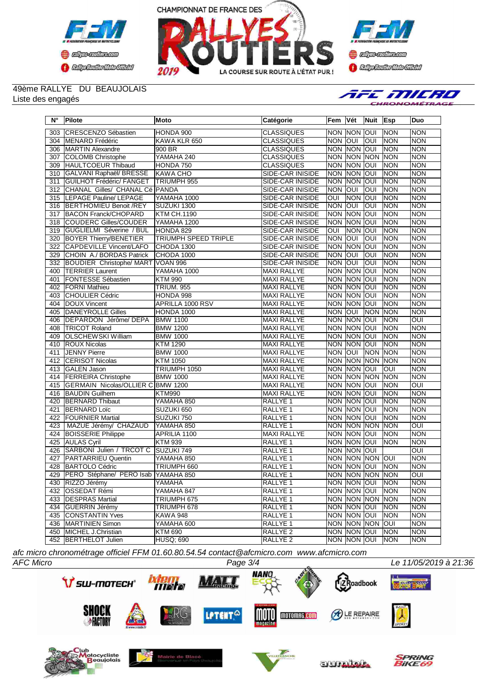





## 49ème RALLYE DU BEAUJOLAIS

Liste des engagés



| $N^{\circ}$      | Pilote                              | Moto                        | Catégorie               | <b>Fem</b>     | ∣Vét           | Nuit Esp            |            | <b>Duo</b>     |
|------------------|-------------------------------------|-----------------------------|-------------------------|----------------|----------------|---------------------|------------|----------------|
| 303              | CRESCENZO Sébastien                 | HONDA 900                   | <b>CLASSIQUES</b>       | NON NON        |                | lon                 | <b>NON</b> | <b>NON</b>     |
| 304              | MENARD Frédéric                     | KAWA KLR 650                | <b>CLASSIQUES</b>       | <b>NON</b>     | loui           | loui                | Inon       | <b>NON</b>     |
| 306              | <b>MARTIN Alexandre</b>             | 900 BR                      | <b>CLASSIQUES</b>       |                | <b>NON NON</b> | loui                | NON        | <b>NON</b>     |
| 307              | COLOMB Christophe                   | YAMAHA 240                  | <b>CLASSIQUES</b>       | <b>NON</b>     | <b>NON</b>     | <b>NON</b>          | <b>NON</b> | <b>NON</b>     |
| 309              | HAULTCOEUR Thibaud                  | HONDA 750                   | <b>CLASSIQUES</b>       | <b>NON NON</b> |                | loui                | <b>NON</b> | <b>NON</b>     |
| 310              | GALVANI Raphaël/BRESSE              | <b>KAWA CHO</b>             | <b>SIDE-CAR INISIDE</b> | <b>NON</b>     | <b>NON</b>     | loui                | <b>NON</b> | <b>NON</b>     |
| 311              | <b>GUILHOT Frédéric/ FANGET</b>     | <b>TRIUMPH 955</b>          | SIDE-CAR INISIDE        | <b>NON</b>     | <b>NON</b>     | loui                | <b>NON</b> | <b>NON</b>     |
| 312              | CHANAL Gilles/ CHANAL Cé PANDA      |                             | SIDE-CAR INISIDE        | Inon Ioui      |                | loui                | Inon       | <b>NON</b>     |
| 315              | LEPAGE Pauline/ LEPAGE              | YAMAHA 1000                 | SIDE-CAR INISIDE        | <b>OUI</b>     | <b>NON</b>     | loui                | <b>NON</b> | <b>NON</b>     |
| 316              | <b>BERTHOMIEU Benoit /REY</b>       | SUZUKI 1300                 | SIDE-CAR INISIDE        | <b>NON</b>     | loui           | loui                | <b>NON</b> | <b>NON</b>     |
| 317              | <b>BACON Franck/CHOPARD</b>         | <b>KTM CH.1190</b>          | <b>SIDE-CAR INISIDE</b> | <b>NON</b>     | <b>NON</b>     | loui                | <b>NON</b> | <b>NON</b>     |
|                  | 318 COUDERC Gilles/COUDER           | YAMAHA 1200                 | SIDE-CAR INISIDE        | <b>NON</b>     | <b>NON</b>     | IOUI                | <b>NON</b> | <b>NON</b>     |
|                  | 319 GUGLIELMI Séverine / BUL        | HONDA 829                   | <b>SIDE-CAR INISIDE</b> | OUI            | <b>NON</b>     | loui                | <b>NON</b> | <b>NON</b>     |
| $\overline{320}$ | <b>BOYER Thierry/BENETIER</b>       | <b>TRIUMPH SPEED TRIPLE</b> | SIDE-CAR INISIDE        | <b>NON</b>     | loui           | IOUI                | <b>NON</b> | <b>NON</b>     |
| $\overline{322}$ | CAPDEVILLE Vincent/LAFO             | CHODA 1300                  | SIDE-CAR INISIDE        | <b>NON</b>     | <b>NON</b>     | loui                | NON        | <b>NON</b>     |
| 329              | CHOIN A./ BORDAS Patrick            | CHODA 1000                  | SIDE-CAR INISIDE        | <b>NON</b>     | loui           | loui                | NON        | <b>NON</b>     |
| 332              | <b>BOUDIER Christophe/ MART</b>     | <b>VOAN 996</b>             | SIDE-CAR INISIDE        | <b>NON</b>     | IOUI           | IOUI                | <b>NON</b> | <b>NON</b>     |
| 400              | <b>TERRIER Laurent</b>              | YAMAHA 1000                 | MAXI RALLYE             | <b>NON</b>     | <b>NON</b>     | loui                | <b>NON</b> | <b>NON</b>     |
| 401              | <b>FONTESSE Sébastien</b>           | <b>KTM 990</b>              | <b>MAXI RALLYE</b>      | <b>NON</b>     | <b>NON</b>     | loui                | Inon       | <b>NON</b>     |
| 402              | <b>FORNI Mathieu</b>                | <b>TRIUM. 955</b>           | <b>MAXI RALLYE</b>      | <b>NON</b>     | <b>NON</b>     | loui                | <b>NON</b> | <b>NON</b>     |
| 403              | <b>CHOULIER Cédric</b>              | HONDA 998                   | <b>MAXI RALLYE</b>      | <b>NON NON</b> |                | loui                | NON        | <b>NON</b>     |
| 404              | DOUX Vincent                        | <b>APRILLA 1000 RSV</b>     | <b>MAXI RALLYE</b>      | <b>NON</b>     | <b>NON</b>     | loui                | <b>NON</b> | <b>NON</b>     |
| 405              | DANEYROLLE Gilles                   | HONDA 1000                  | <b>MAXI RALLYE</b>      | <b>NON</b>     | loui           | <b>NON</b>          | <b>NON</b> | <b>NON</b>     |
| 406              | <b>DEPARDON Jérôme/DEPA</b>         | <b>BMW 1100</b>             | <b>MAXI RALLYE</b>      |                | <b>NON NON</b> | loui                | <b>NON</b> | $\overline{O}$ |
| 408              | <b>TRICOT Roland</b>                | <b>BMW 1200</b>             | <b>MAXI RALLYE</b>      | <b>NON NON</b> |                | loui                | <b>NON</b> | <b>NON</b>     |
| 409              | <b>OLSCHEWSKI William</b>           | <b>BMW</b> 1000             | <b>MAXI RALLYE</b>      | <b>NON</b>     | <b>NON</b>     | loui                | <b>NON</b> | <b>NON</b>     |
| 410              | <b>ROUX Nicolas</b>                 | <b>KTM 1290</b>             | <b>MAXI RALLYE</b>      |                | <b>NON NON</b> | loui                | <b>NON</b> | <b>NON</b>     |
| 411              | <b>JENNY Pierre</b>                 | <b>BMW 1000</b>             | <b>MAXI RALLYE</b>      | <b>NON</b>     | loui           | <b>NON</b>          | <b>NON</b> | <b>NON</b>     |
| 412              | <b>CERISOT Nicolas</b>              | <b>KTM 1050</b>             | <b>MAXI RALLYE</b>      | <b>NON</b>     | <b>NON</b>     | <b>NON</b>          | <b>NON</b> | <b>NON</b>     |
|                  | 413 GALEN Jason                     | TRIUMPH 1050                | MAXI RALLYE             |                | NON NON        | loui                | loui       | <b>NON</b>     |
| 414              | <b>FERREIRA Christophe</b>          | <b>BMW 1000</b>             | <b>MAXI RALLYE</b>      | <b>NON NON</b> |                | <b>NON</b>          | <b>NON</b> | <b>NON</b>     |
| 415              | GERMAIN Nicolas/OLLIER C BMW 1200   |                             | <b>MAXI RALLYE</b>      |                | <b>NON NON</b> | IOUI                | <b>NON</b> | $\overline{O}$ |
| 416              | <b>BAUDIN Guilhem</b>               | <b>KTM990</b>               | MAXI RALLYE             |                | <b>NON NON</b> | IOUI                | <b>NON</b> | <b>NON</b>     |
| 420              | <b>BERNARD Thibaut</b>              | YAMAHA 850                  | <b>RALLYE 1</b>         | <b>NON NON</b> |                | loui                | NON        | <b>NON</b>     |
| 421              | <b>BERNARD Loïc</b>                 | SUZUKI 650                  | RALLYE 1                |                | non Inon       | IOUI                | <b>NON</b> | <b>NON</b>     |
| 422              | <b>FOURNIER Martial</b>             | SUZUKI 750                  | RALLYE 1                |                | NON NON        | loui                | <b>NON</b> | <b>NON</b>     |
| 423              | MAZUE Jérémy/ CHAZAUD               | YAMAHA 850                  | <b>RALLYE 1</b>         | <b>NON NON</b> |                | <b>NON</b>          | <b>NON</b> | OUI            |
| 424              | <b>BOISSERIE Philippe</b>           | APRILIA 1100                | <b>MAXI RALLYE</b>      | NON NON        |                | loui                | <b>NON</b> | <b>NON</b>     |
| 425              | <b>AULAS Cyril</b>                  | <b>KTM 939</b>              | RALLYE 1                | <b>NON</b>     | <b>NON</b>     | loui                | <b>NON</b> | <b>NON</b>     |
| 426              | SARBONI Julien / TRCOT C            | SUZUKI 749                  | RALLYE <sub>1</sub>     | NON NON        |                | loui                |            | OUI            |
| 427              | PARTARRIEU Quentin                  | YAMAHA 850                  | RALLYE 1                | <b>NON NON</b> |                | <b>NON</b>          | loui       | <b>NON</b>     |
| 428              | BARTOLO Cédric                      | TRIUMPH 660                 | RALLYE 1                | NON            | <b>NON</b>     | ΙΟυι                | <b>NON</b> | <b>NON</b>     |
| 429              | PERO Stéphane/ PERO Isab YAMAHA 850 |                             | RALLYE 1                |                |                | NON NON NON NON     |            | $\overline{O}$ |
|                  | 430   RIZZO Jérémy                  | YAMAHA                      | RALLYE 1                |                |                | INON INON IOUI INON |            | INON           |
|                  | 432 OSSEDAT Rémi                    | YAMAHA 847                  | RALLYE 1                |                | NON NON OUI    |                     | <b>NON</b> | <b>NON</b>     |
|                  | 433   DESPRAS Martial               | TRIUMPH 675                 | RALLYE 1                |                |                | NON NON NON NON     |            | <b>NON</b>     |
|                  | 434 GUERRIN Jérémy                  | TRIUMPH 678                 | RALLYE <sub>1</sub>     |                | NON NON OUI    |                     | <b>NON</b> | <b>NON</b>     |
|                  | 435 CONSTANTIN Yves                 | KAWA 948                    | RALLYE 1                |                | NON NON OUI    |                     | <b>NON</b> | <b>NON</b>     |
|                  | 436   MARTINIEN Simon               | YAMAHA 600                  | RALLYE <sub>1</sub>     |                |                | NON NON NON OUI     |            | <b>NON</b>     |
|                  | 450 MICHEL J.Christian              | <b>KTM 690</b>              | RALLYE <sub>2</sub>     |                | NON NON OUI    |                     | <b>NON</b> | <b>NON</b>     |
|                  | 452 BERTHELOT Julien                | <b>HUSQ; 690</b>            | RALLYE <sub>2</sub>     |                | NON NON OUI    |                     | <b>NON</b> | <b>NON</b>     |